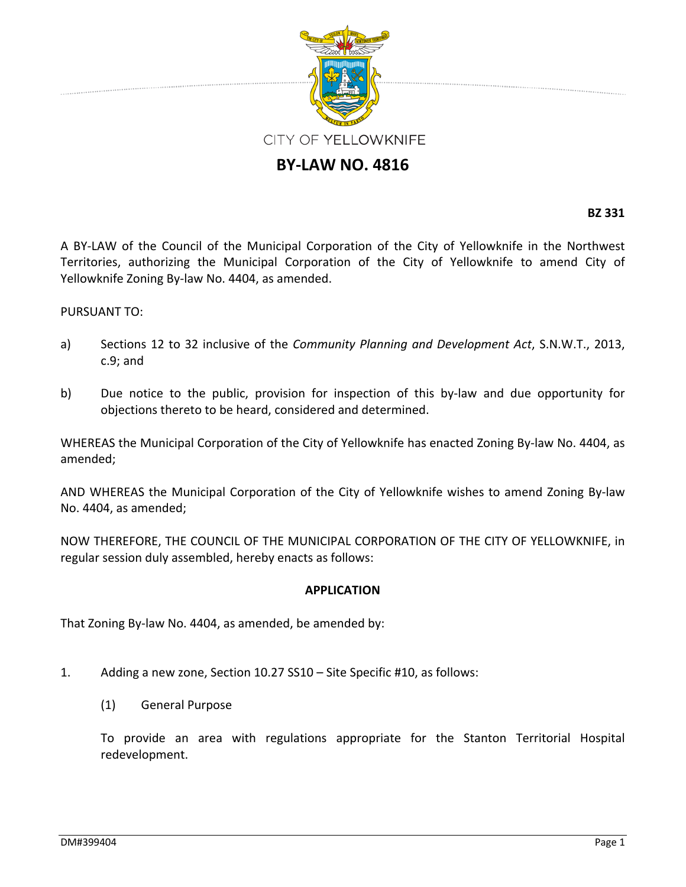

## **BY‐LAW NO. 4816**

**BZ 331**

A BY‐LAW of the Council of the Municipal Corporation of the City of Yellowknife in the Northwest Territories, authorizing the Municipal Corporation of the City of Yellowknife to amend City of Yellowknife Zoning By‐law No. 4404, as amended.

## PURSUANT TO:

- a) Sections 12 to 32 inclusive of the *Community Planning and Development Act*, S.N.W.T., 2013, c.9; and
- b) Due notice to the public, provision for inspection of this by-law and due opportunity for objections thereto to be heard, considered and determined.

WHEREAS the Municipal Corporation of the City of Yellowknife has enacted Zoning By-law No. 4404, as amended;

AND WHEREAS the Municipal Corporation of the City of Yellowknife wishes to amend Zoning By‐law No. 4404, as amended;

NOW THEREFORE, THE COUNCIL OF THE MUNICIPAL CORPORATION OF THE CITY OF YELLOWKNIFE, in regular session duly assembled, hereby enacts as follows:

## **APPLICATION**

That Zoning By-law No. 4404, as amended, be amended by:

- 1. Adding a new zone, Section 10.27 SS10 Site Specific #10, as follows:
	- (1) General Purpose

To provide an area with regulations appropriate for the Stanton Territorial Hospital redevelopment.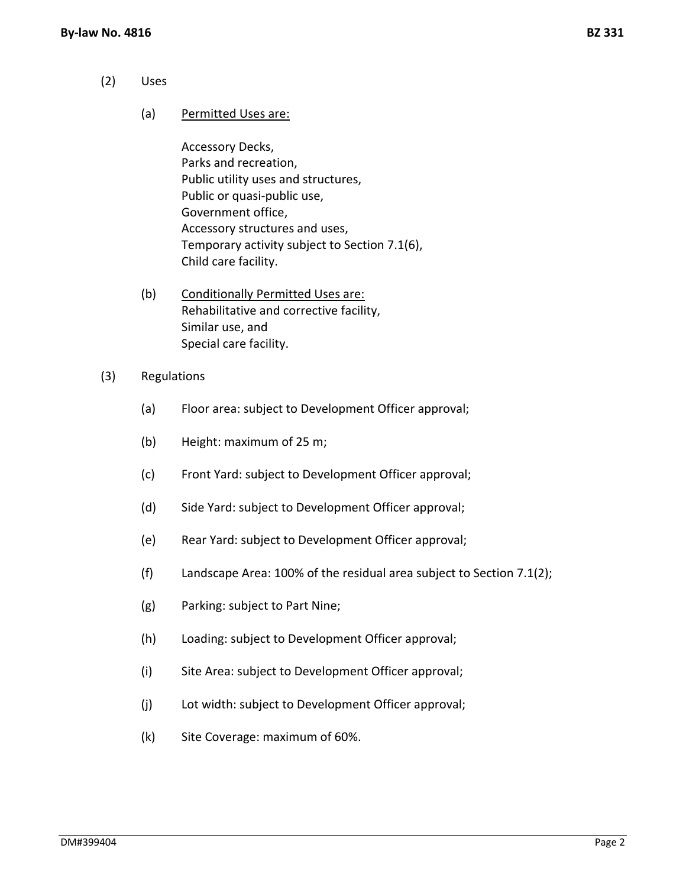- (2) Uses
	- (a) Permitted Uses are:

Accessory Decks, Parks and recreation, Public utility uses and structures, Public or quasi‐public use, Government office, Accessory structures and uses, Temporary activity subject to Section 7.1(6), Child care facility.

- (b) Conditionally Permitted Uses are: Rehabilitative and corrective facility, Similar use, and Special care facility.
- (3) Regulations
	- (a) Floor area: subject to Development Officer approval;
	- (b) Height: maximum of 25 m;
	- (c) Front Yard: subject to Development Officer approval;
	- (d) Side Yard: subject to Development Officer approval;
	- (e) Rear Yard: subject to Development Officer approval;
	- (f) Landscape Area: 100% of the residual area subject to Section 7.1(2);
	- (g) Parking: subject to Part Nine;
	- (h) Loading: subject to Development Officer approval;
	- (i) Site Area: subject to Development Officer approval;
	- (j) Lot width: subject to Development Officer approval;
	- (k) Site Coverage: maximum of 60%.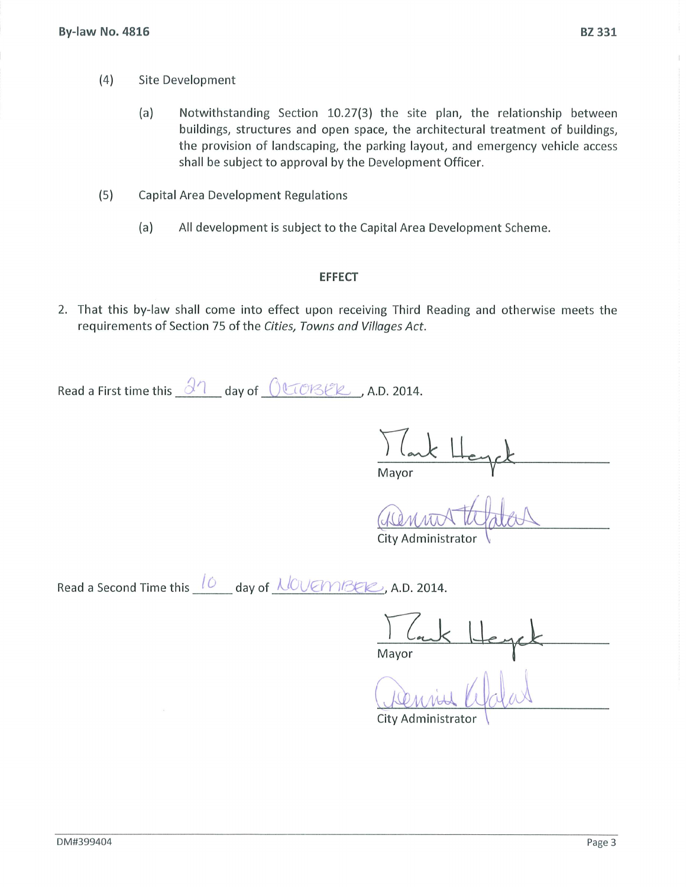- $(4)$ Site Development
	- Notwithstanding Section 10.27(3) the site plan, the relationship between  $(a)$ buildings, structures and open space, the architectural treatment of buildings, the provision of landscaping, the parking layout, and emergency vehicle access shall be subject to approval by the Development Officer.
- $(5)$ Capital Area Development Regulations
	- $(a)$ All development is subject to the Capital Area Development Scheme.

## **EFFECT**

2. That this by-law shall come into effect upon receiving Third Reading and otherwise meets the requirements of Section 75 of the Cities, Towns and Villages Act.

Read a First time this  $\frac{\partial 1}{\partial x}$  day of  $\frac{\partial \mathbb{C} \partial \mathcal{B}}{\partial y}$ , A.D. 2014.

Mayor

City Administrator

Read a Second Time this  $10$  day of  $100$  (Manuseum A.D. 2014.

Mayor

City Administrator